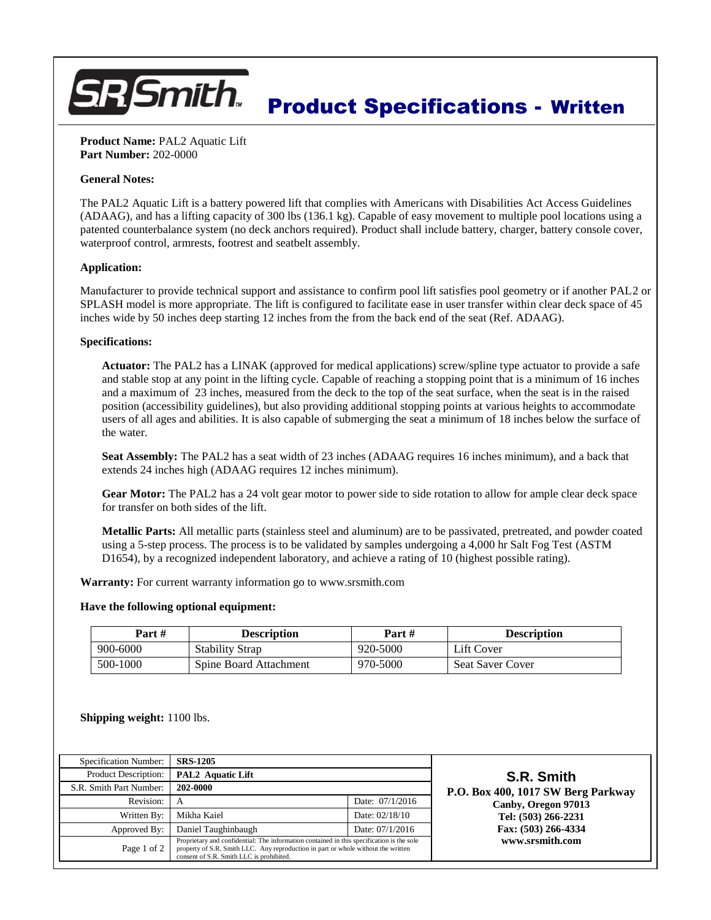# **7 Smith** Product Specifications - Written

**Product Name:** PAL2 Aquatic Lift **Part Number:** 202-0000

## **General Notes:**

The PAL2 Aquatic Lift is a battery powered lift that complies with Americans with Disabilities Act Access Guidelines (ADAAG), and has a lifting capacity of 300 lbs (136.1 kg). Capable of easy movement to multiple pool locations using a patented counterbalance system (no deck anchors required). Product shall include battery, charger, battery console cover, waterproof control, armrests, footrest and seatbelt assembly.

### **Application:**

Manufacturer to provide technical support and assistance to confirm pool lift satisfies pool geometry or if another PAL2 or SPLASH model is more appropriate. The lift is configured to facilitate ease in user transfer within clear deck space of 45 inches wide by 50 inches deep starting 12 inches from the from the back end of the seat (Ref. ADAAG).

### **Specifications:**

**Actuator:** The PAL2 has a LINAK (approved for medical applications) screw/spline type actuator to provide a safe and stable stop at any point in the lifting cycle. Capable of reaching a stopping point that is a minimum of 16 inches and a maximum of 23 inches, measured from the deck to the top of the seat surface, when the seat is in the raised position (accessibility guidelines), but also providing additional stopping points at various heights to accommodate users of all ages and abilities. It is also capable of submerging the seat a minimum of 18 inches below the surface of the water.

**Seat Assembly:** The PAL2 has a seat width of 23 inches (ADAAG requires 16 inches minimum), and a back that extends 24 inches high (ADAAG requires 12 inches minimum).

**Gear Motor:** The PAL2 has a 24 volt gear motor to power side to side rotation to allow for ample clear deck space for transfer on both sides of the lift.

**Metallic Parts:** All metallic parts (stainless steel and aluminum) are to be passivated, pretreated, and powder coated using a 5-step process. The process is to be validated by samples undergoing a 4,000 hr Salt Fog Test (ASTM D1654), by a recognized independent laboratory, and achieve a rating of 10 (highest possible rating).

**Warranty:** For current warranty information go to www.srsmith.com

#### **Have the following optional equipment:**

| Part#    | <b>Description</b>     | Part #   | <b>Description</b>      |
|----------|------------------------|----------|-------------------------|
| 900-6000 | <b>Stability Strap</b> | 920-5000 | Lift Cover              |
| 500-1000 | Spine Board Attachment | 970-5000 | <b>Seat Saver Cover</b> |

**Shipping weight:** 1100 lbs.

| Specification Number:                                                                                                                                                                                                                     | <b>SRS-1205</b>     |                 |  |
|-------------------------------------------------------------------------------------------------------------------------------------------------------------------------------------------------------------------------------------------|---------------------|-----------------|--|
| Product Description:                                                                                                                                                                                                                      | PAL2 Aquatic Lift   |                 |  |
| S.R. Smith Part Number:                                                                                                                                                                                                                   | 202-0000            |                 |  |
| Revision:                                                                                                                                                                                                                                 | А                   | Date: 07/1/2016 |  |
| Written By:                                                                                                                                                                                                                               | Mikha Kaiel         | Date: 02/18/10  |  |
| Approved By:                                                                                                                                                                                                                              | Daniel Taughinbaugh | Date: 07/1/2016 |  |
| Proprietary and confidential: The information contained in this specification is the sole<br>Page 1 of 2<br>property of S.R. Smith LLC. Any reproduction in part or whole without the written<br>consent of S.R. Smith LLC is prohibited. |                     |                 |  |

**S.R. Smith P.O. Box 400, 1017 SW Berg Parkway Canby, Oregon 97013 Tel: (503) 266-2231 Fax: (503) 266-4334 www.srsmith.com**